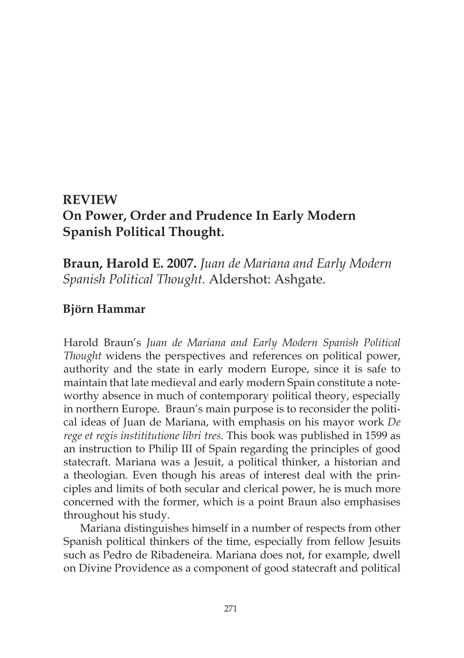# **REVIEW On Power, Order and Prudence In Early Modern Spanish Political Thought.**

**Braun, Harold E. 2007.** *Juan de Mariana and Early Modern Spanish Political Thought.* Aldershot: Ashgate.

## **Björn Hammar**

Harold Braun's *Juan de Mariana and Early Modern Spanish Political Thought* widens the perspectives and references on political power, authority and the state in early modern Europe, since it is safe to maintain that late medieval and early modern Spain constitute a noteworthy absence in much of contemporary political theory, especially in northern Europe. Braun's main purpose is to reconsider the political ideas of Juan de Mariana, with emphasis on his mayor work *De rege et regis instititutione libri tres*. This book was published in 1599 as an instruction to Philip III of Spain regarding the principles of good statecraft. Mariana was a Jesuit, a political thinker, a historian and a theologian. Even though his areas of interest deal with the principles and limits of both secular and clerical power, he is much more concerned with the former, which is a point Braun also emphasises throughout his study.

Mariana distinguishes himself in a number of respects from other Spanish political thinkers of the time, especially from fellow Jesuits such as Pedro de Ribadeneira. Mariana does not, for example, dwell on Divine Providence as a component of good statecraft and political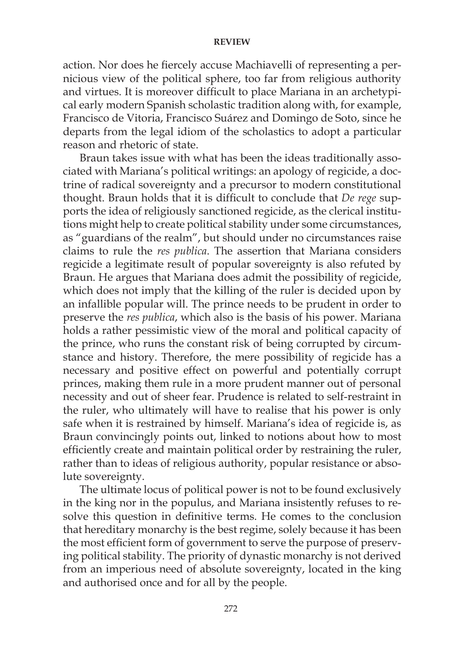#### **REVIEW**

action. Nor does he fiercely accuse Machiavelli of representing a pernicious view of the political sphere, too far from religious authority and virtues. It is moreover difficult to place Mariana in an archetypical early modern Spanish scholastic tradition along with, for example, Francisco de Vitoria, Francisco Suárez and Domingo de Soto, since he departs from the legal idiom of the scholastics to adopt a particular reason and rhetoric of state.

Braun takes issue with what has been the ideas traditionally associated with Mariana's political writings: an apology of regicide, a doctrine of radical sovereignty and a precursor to modern constitutional thought. Braun holds that it is difficult to conclude that *De rege* supports the idea of religiously sanctioned regicide, as the clerical institutions might help to create political stability under some circumstances, as "guardians of the realm", but should under no circumstances raise claims to rule the *res publica*. The assertion that Mariana considers regicide a legitimate result of popular sovereignty is also refuted by Braun. He argues that Mariana does admit the possibility of regicide, which does not imply that the killing of the ruler is decided upon by an infallible popular will. The prince needs to be prudent in order to preserve the *res publica*, which also is the basis of his power. Mariana holds a rather pessimistic view of the moral and political capacity of the prince, who runs the constant risk of being corrupted by circumstance and history. Therefore, the mere possibility of regicide has a necessary and positive effect on powerful and potentially corrupt princes, making them rule in a more prudent manner out of personal necessity and out of sheer fear. Prudence is related to self-restraint in the ruler, who ultimately will have to realise that his power is only safe when it is restrained by himself. Mariana's idea of regicide is, as Braun convincingly points out, linked to notions about how to most efficiently create and maintain political order by restraining the ruler, rather than to ideas of religious authority, popular resistance or absolute sovereignty.

The ultimate locus of political power is not to be found exclusively in the king nor in the populus, and Mariana insistently refuses to resolve this question in definitive terms. He comes to the conclusion that hereditary monarchy is the best regime, solely because it has been the most efficient form of government to serve the purpose of preserving political stability. The priority of dynastic monarchy is not derived from an imperious need of absolute sovereignty, located in the king and authorised once and for all by the people.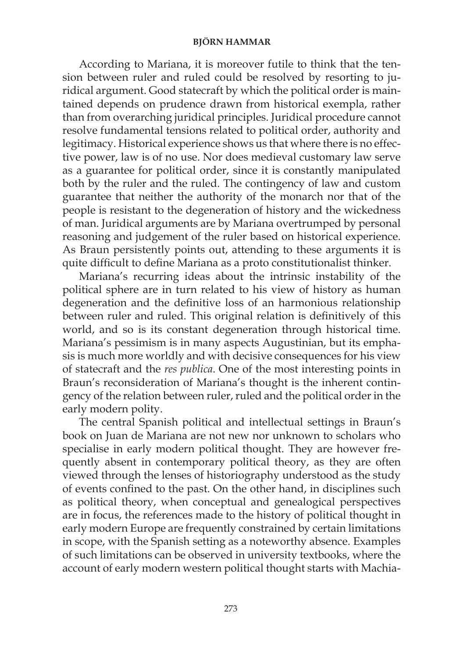### **BJÖRN HAMMAR**

According to Mariana, it is moreover futile to think that the tension between ruler and ruled could be resolved by resorting to juridical argument. Good statecraft by which the political order is maintained depends on prudence drawn from historical exempla, rather than from overarching juridical principles. Juridical procedure cannot resolve fundamental tensions related to political order, authority and legitimacy. Historical experience shows us that where there is no effective power, law is of no use. Nor does medieval customary law serve as a guarantee for political order, since it is constantly manipulated both by the ruler and the ruled. The contingency of law and custom guarantee that neither the authority of the monarch nor that of the people is resistant to the degeneration of history and the wickedness of man. Juridical arguments are by Mariana overtrumped by personal reasoning and judgement of the ruler based on historical experience. As Braun persistently points out, attending to these arguments it is quite difficult to define Mariana as a proto constitutionalist thinker.

Mariana's recurring ideas about the intrinsic instability of the political sphere are in turn related to his view of history as human degeneration and the definitive loss of an harmonious relationship between ruler and ruled. This original relation is definitively of this world, and so is its constant degeneration through historical time. Mariana's pessimism is in many aspects Augustinian, but its emphasis is much more worldly and with decisive consequences for his view of statecraft and the *res publica*. One of the most interesting points in Braun's reconsideration of Mariana's thought is the inherent contingency of the relation between ruler, ruled and the political order in the early modern polity.

The central Spanish political and intellectual settings in Braun's book on Juan de Mariana are not new nor unknown to scholars who specialise in early modern political thought. They are however frequently absent in contemporary political theory, as they are often viewed through the lenses of historiography understood as the study of events confined to the past. On the other hand, in disciplines such as political theory, when conceptual and genealogical perspectives are in focus, the references made to the history of political thought in early modern Europe are frequently constrained by certain limitations in scope, with the Spanish setting as a noteworthy absence. Examples of such limitations can be observed in university textbooks, where the account of early modern western political thought starts with Machia-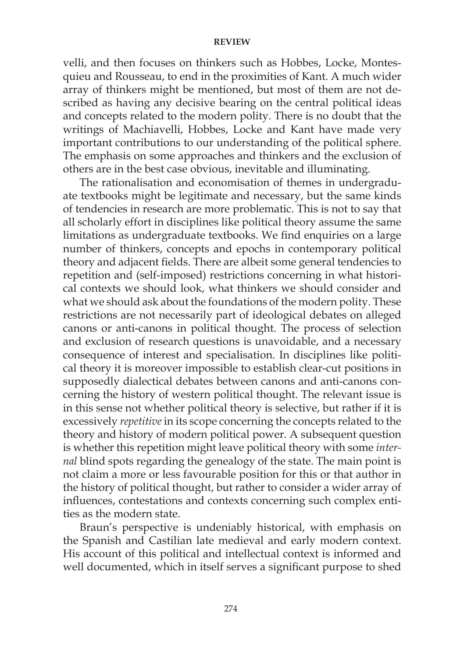#### **REVIEW**

velli, and then focuses on thinkers such as Hobbes, Locke, Montesquieu and Rousseau, to end in the proximities of Kant. A much wider array of thinkers might be mentioned, but most of them are not described as having any decisive bearing on the central political ideas and concepts related to the modern polity. There is no doubt that the writings of Machiavelli, Hobbes, Locke and Kant have made very important contributions to our understanding of the political sphere. The emphasis on some approaches and thinkers and the exclusion of others are in the best case obvious, inevitable and illuminating.

The rationalisation and economisation of themes in undergraduate textbooks might be legitimate and necessary, but the same kinds of tendencies in research are more problematic. This is not to say that all scholarly effort in disciplines like political theory assume the same limitations as undergraduate textbooks. We find enquiries on a large number of thinkers, concepts and epochs in contemporary political theory and adjacent fields. There are albeit some general tendencies to repetition and (self-imposed) restrictions concerning in what historical contexts we should look, what thinkers we should consider and what we should ask about the foundations of the modern polity. These restrictions are not necessarily part of ideological debates on alleged canons or anti-canons in political thought. The process of selection and exclusion of research questions is unavoidable, and a necessary consequence of interest and specialisation. In disciplines like political theory it is moreover impossible to establish clear-cut positions in supposedly dialectical debates between canons and anti-canons concerning the history of western political thought. The relevant issue is in this sense not whether political theory is selective, but rather if it is excessively *repetitive* in its scope concerning the concepts related to the theory and history of modern political power. A subsequent question is whether this repetition might leave political theory with some *internal* blind spots regarding the genealogy of the state. The main point is not claim a more or less favourable position for this or that author in the history of political thought, but rather to consider a wider array of influences, contestations and contexts concerning such complex entities as the modern state.

Braun's perspective is undeniably historical, with emphasis on the Spanish and Castilian late medieval and early modern context. His account of this political and intellectual context is informed and well documented, which in itself serves a significant purpose to shed